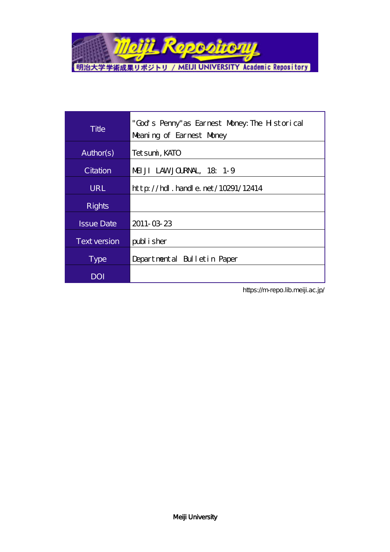

| Title               | "God's Penny" as Earnest Money: The Historical<br>Meaning of Earnest Money |
|---------------------|----------------------------------------------------------------------------|
| Author(s)           | Tet sumi, KATO                                                             |
| Citation            | MEUJI LAWJOURNAL, 18, 1-9                                                  |
| <b>URL</b>          | $http$ // $hdl$ . handle. net/10291/12414                                  |
| <b>Rights</b>       |                                                                            |
| <b>Issue Date</b>   | 2011-03-23                                                                 |
| <b>Text version</b> | publisher                                                                  |
| <b>Type</b>         | Departmental Bulletin Paper                                                |
| <b>DOI</b>          |                                                                            |

https://m-repo.lib.meiji.ac.jp/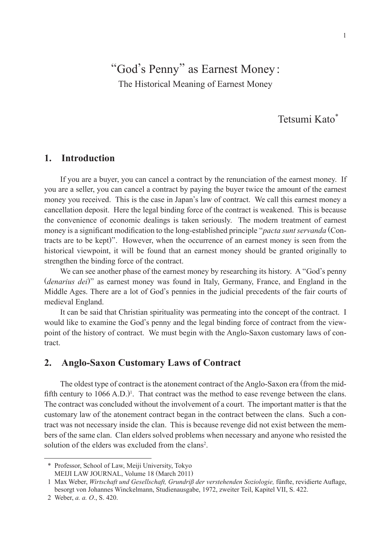# "God's Penny" as Earnest Money: The Historical Meaning of Earnest Money

## Tetsumi Kato\*

## **1. Introduction**

If you are a buyer, you can cancel a contract by the renunciation of the earnest money. If you are a seller, you can cancel a contract by paying the buyer twice the amount of the earnest money you received. This is the case in Japan's law of contract. We call this earnest money a cancellation deposit. Here the legal binding force of the contract is weakened. This is because the convenience of economic dealings is taken seriously. The modern treatment of earnest money is a significant modification to the long-established principle "*pacta sunt servanda* (Contracts are to be kept)". However, when the occurrence of an earnest money is seen from the historical viewpoint, it will be found that an earnest money should be granted originally to strengthen the binding force of the contract.

We can see another phase of the earnest money by researching its history. A "God's penny (*denarius dei*)" as earnest money was found in Italy, Germany, France, and England in the Middle Ages. There are a lot of God's pennies in the judicial precedents of the fair courts of medieval England.

It can be said that Christian spirituality was permeating into the concept of the contract. I would like to examine the God's penny and the legal binding force of contract from the viewpoint of the history of contract. We must begin with the Anglo-Saxon customary laws of contract.

## **2. Anglo-Saxon Customary Laws of Contract**

The oldest type of contract is the atonement contract of the Anglo-Saxon era (from the midfifth century to  $1066$  A.D.)<sup>1</sup>. That contract was the method to ease revenge between the clans. The contract was concluded without the involvement of a court. The important matter is that the customary law of the atonement contract began in the contract between the clans. Such a contract was not necessary inside the clan. This is because revenge did not exist between the members of the same clan. Clan elders solved problems when necessary and anyone who resisted the solution of the elders was excluded from the clans<sup>2</sup>.

<sup>\*</sup> Professor, School of Law, Meiji University, Tokyo MEIJI LAW JOURNAL, Volume 18 (March 2011)

<sup>1</sup> Max Weber, *Wirtschaft und Gesellschaft, Grundriß der verstehenden Soziologie,* fünfte, revidierte Auflage, besorgt von Johannes Winckelmann, Studienausgabe, 1972, zweiter Teil, Kapitel VII, S. 422.

<sup>2</sup> Weber, *a. a. O*., S. 420.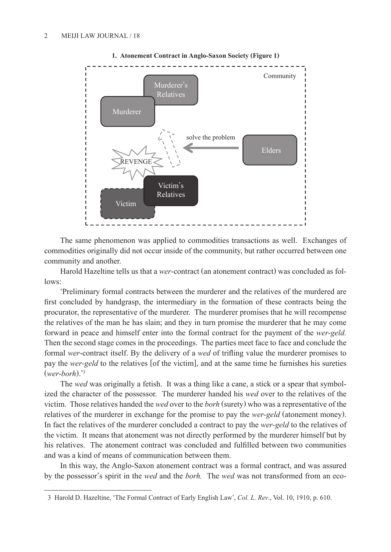

**1. Atonement Contract in Anglo-Saxon Society (Figure 1)**

The same phenomenon was applied to commodities transactions as well. Exchanges of commodities originally did not occur inside of the community, but rather occurred between one community and another.

Harold Hazeltine tells us that a *wer*-contract (an atonement contract) was concluded as follows:

'Preliminary formal contracts between the murderer and the relatives of the murdered are first concluded by handgrasp, the intermediary in the formation of these contracts being the procurator, the representative of the murderer. The murderer promises that he will recompense the relatives of the man he has slain; and they in turn promise the murderer that he may come forward in peace and himself enter into the formal contract for the payment of the *wer-geld.*  Then the second stage comes in the proceedings. The parties meet face to face and conclude the formal *wer*-contract itself. By the delivery of a *wed* of trifling value the murderer promises to pay the *wer-geld* to the relatives [of the victim], and at the same time he furnishes his sureties (*wer-borh*).' 3

The *wed* was originally a fetish. It was a thing like a cane, a stick or a spear that symbolized the character of the possessor. The murderer handed his *wed* over to the relatives of the victim. Those relatives handed the *wed* over to the *borh* (surety) who was a representative of the relatives of the murderer in exchange for the promise to pay the *wer-geld* (atonement money). In fact the relatives of the murderer concluded a contract to pay the *wer-geld* to the relatives of the victim. It means that atonement was not directly performed by the murderer himself but by his relatives. The atonement contract was concluded and fulfilled between two communities and was a kind of means of communication between them.

In this way, the Anglo-Saxon atonement contract was a formal contract, and was assured by the possessor's spirit in the *wed* and the *borh.* The *wed* was not transformed from an eco-

<sup>3</sup> Harold D. Hazeltine, 'The Formal Contract of Early English Law', *Col. L. Rev*., Vol. 10, 1910, p. 610.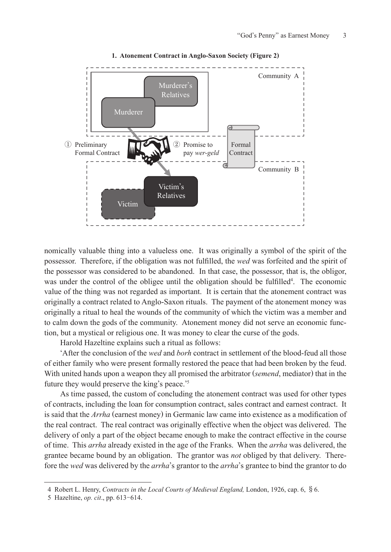

#### **1. Atonement Contract in Anglo-Saxon Society (Figure 2)**

nomically valuable thing into a valueless one. It was originally a symbol of the spirit of the possessor. Therefore, if the obligation was not fulfilled, the *wed* was forfeited and the spirit of the possessor was considered to be abandoned. In that case, the possessor, that is, the obligor, was under the control of the obligee until the obligation should be fulfilled<sup>4</sup>. The economic value of the thing was not regarded as important. It is certain that the atonement contract was originally a contract related to Anglo-Saxon rituals. The payment of the atonement money was originally a ritual to heal the wounds of the community of which the victim was a member and to calm down the gods of the community. Atonement money did not serve an economic function, but a mystical or religious one. It was money to clear the curse of the gods.

Harold Hazeltine explains such a ritual as follows:

'After the conclusion of the *wed* and *borh* contract in settlement of the blood-feud all those of either family who were present formally restored the peace that had been broken by the feud. With united hands upon a weapon they all promised the arbitrator (*semend*, mediator) that in the future they would preserve the king's peace.' 5

As time passed, the custom of concluding the atonement contract was used for other types of contracts, including the loan for consumption contract, sales contract and earnest contract. It is said that the *Arrha* (earnest money) in Germanic law came into existence as a modification of the real contract. The real contract was originally effective when the object was delivered. The delivery of only a part of the object became enough to make the contract effective in the course of time. This *arrha* already existed in the age of the Franks. When the *arrha* was delivered, the grantee became bound by an obligation. The grantor was *not* obliged by that delivery. Therefore the *wed* was delivered by the *arrha*'s grantor to the *arrha*'s grantee to bind the grantor to do

<sup>4</sup> Robert L. Henry, *Contracts in the Local Courts of Medieval England,* London, 1926, cap. 6, §6.

<sup>5</sup> Hazeltine, *op. cit*., pp. 613- 614.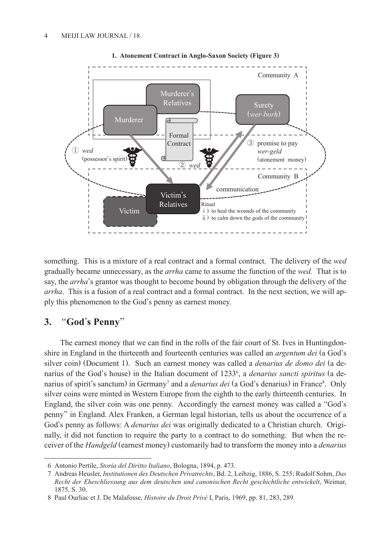

**1. Atonement Contract in Anglo-Saxon Society (Figure 3)**

something. This is a mixture of a real contract and a formal contract. The delivery of the *wed* gradually became unnecessary, as the *arrha* came to assume the function of the *wed.* That is to say, the *arrha*'s grantor was thought to become bound by obligation through the delivery of the *arrha*. This is a fusion of a real contract and a formal contract. In the next section, we will apply this phenomenon to the God's penny as earnest money.

## **3.** "**God**'**s Penny**"

The earnest money that we can find in the rolls of the fair court of St. Ives in Huntingdonshire in England in the thirteenth and fourteenth centuries was called an *argentum dei* (a God's silver coin) (Document 1). Such an earnest money was called a *denarius de domo dei* (a denarius of the God's house) in the Italian document of 12336 , a *denarius sancti spiritus* (a denarius of spirit's sanctum) in Germany<sup>7</sup> and a *denarius dei* (a God's denarius) in France<sup>8</sup>. Only silver coins were minted in Western Europe from the eighth to the early thirteenth centuries. In England, the silver coin was one penny. Accordingly the earnest money was called a "God's penny" in England. Alex Franken, a German legal historian, tells us about the occurrence of a God's penny as follows: A *denarius dei* was originally dedicated to a Christian church. Originally, it did not function to require the party to a contract to do something. But when the receiver of the *Handgeld* (earnest money) customarily had to transform the money into a *denarius* 

<sup>6</sup> Antonio Pertile, *Storia del Diritto Italiano*, Bologna, 1894, p. 473.

<sup>7</sup> Andreas Heusler, *Institutionen des Deutschen Privatrechts*, Bd. 2, Leibzig, 1886, S. 255; Rudolf Sohm, *Das Recht der Eheschliessung aus dem deutschen und canonischen Recht geschichtliche entwickelt*, Weimar, 1875, S. 30.

<sup>8</sup> Paul Ourliac et J. De Malafosse, *Histoire du Droit Privé* I, Paris, 1969, pp. 81, 283, 289.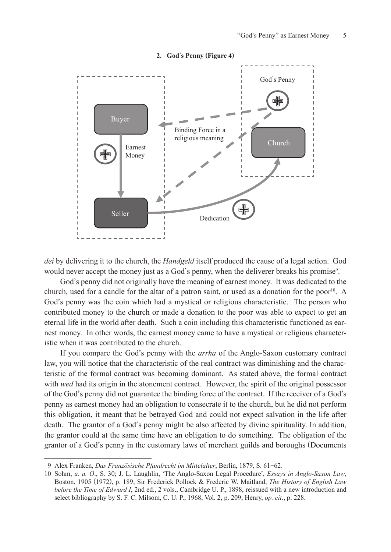

#### **2. God**'**s Penny (Figure 4)**

*dei* by delivering it to the church, the *Handgeld* itself produced the cause of a legal action. God would never accept the money just as a God's penny, when the deliverer breaks his promise<sup>9</sup>.

God's penny did not originally have the meaning of earnest money. It was dedicated to the church, used for a candle for the altar of a patron saint, or used as a donation for the poor 10 . A God's penny was the coin which had a mystical or religious characteristic. The person who contributed money to the church or made a donation to the poor was able to expect to get an eternal life in the world after death. Such a coin including this characteristic functioned as earnest money. In other words, the earnest money came to have a mystical or religious characteristic when it was contributed to the church.

If you compare the God's penny with the *arrha* of the Anglo-Saxon customary contract law, you will notice that the characteristic of the real contract was diminishing and the characteristic of the formal contract was becoming dominant. As stated above, the formal contract with *wed* had its origin in the atonement contract. However, the spirit of the original possessor of the God's penny did not guarantee the binding force of the contract. If the receiver of a God's penny as earnest money had an obligation to consecrate it to the church, but he did not perform this obligation, it meant that he betrayed God and could not expect salvation in the life after death. The grantor of a God's penny might be also affected by divine spirituality. In addition, the grantor could at the same time have an obligation to do something. The obligation of the grantor of a God's penny in the customary laws of merchant guilds and boroughs (Documents

<sup>9</sup> Alex Franken, *Das Französische Pfandrecht im Mittelalter*, Berlin, 1879, S. 61- 62.

<sup>10</sup> Sohm, *a. a. O*., S. 30; J. L. Laughlin, 'The Anglo-Saxon Legal Procedure', *Essays in Anglo-Saxon Law*, Boston, 1905 (1972), p. 189; Sir Frederick Pollock & Frederic W. Maitland, *The History of English Law before the Time of Edward I*, 2nd ed., 2 vols., Cambridge U. P., 1898, reissued with a new introduction and select bibliography by S. F. C. Milsom, C. U. P., 1968, Vol. 2, p. 209; Henry, *op. cit*., p. 228.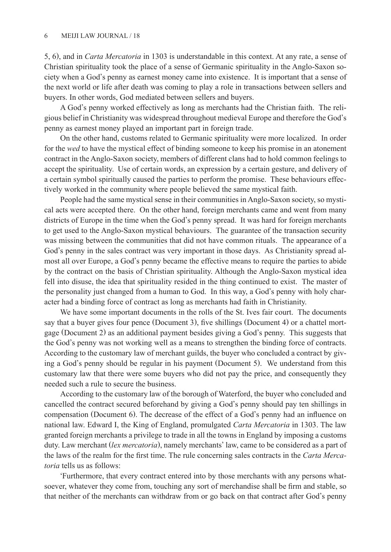5, 6), and in *Carta Mercatoria* in 1303 is understandable in this context. At any rate, a sense of Christian spirituality took the place of a sense of Germanic spirituality in the Anglo-Saxon society when a God's penny as earnest money came into existence. It is important that a sense of the next world or life after death was coming to play a role in transactions between sellers and buyers. In other words, God mediated between sellers and buyers.

A God's penny worked effectively as long as merchants had the Christian faith. The religious belief in Christianity was widespread throughout medieval Europe and therefore the God's penny as earnest money played an important part in foreign trade.

On the other hand, customs related to Germanic spirituality were more localized. In order for the *wed* to have the mystical effect of binding someone to keep his promise in an atonement contract in the Anglo-Saxon society, members of different clans had to hold common feelings to accept the spirituality. Use of certain words, an expression by a certain gesture, and delivery of a certain symbol spiritually caused the parties to perform the promise. These behaviours effectively worked in the community where people believed the same mystical faith.

People had the same mystical sense in their communities in Anglo-Saxon society, so mystical acts were accepted there. On the other hand, foreign merchants came and went from many districts of Europe in the time when the God's penny spread. It was hard for foreign merchants to get used to the Anglo-Saxon mystical behaviours. The guarantee of the transaction security was missing between the communities that did not have common rituals. The appearance of a God's penny in the sales contract was very important in those days. As Christianity spread almost all over Europe, a God's penny became the effective means to require the parties to abide by the contract on the basis of Christian spirituality. Although the Anglo-Saxon mystical idea fell into disuse, the idea that spirituality resided in the thing continued to exist. The master of the personality just changed from a human to God. In this way, a God's penny with holy character had a binding force of contract as long as merchants had faith in Christianity.

We have some important documents in the rolls of the St. Ives fair court. The documents say that a buyer gives four pence (Document 3), five shillings (Document 4) or a chattel mortgage (Document 2) as an additional payment besides giving a God's penny. This suggests that the God's penny was not working well as a means to strengthen the binding force of contracts. According to the customary law of merchant guilds, the buyer who concluded a contract by giving a God's penny should be regular in his payment (Document 5). We understand from this customary law that there were some buyers who did not pay the price, and consequently they needed such a rule to secure the business.

According to the customary law of the borough of Waterford, the buyer who concluded and cancelled the contract secured beforehand by giving a God's penny should pay ten shillings in compensation (Document 6). The decrease of the effect of a God's penny had an influence on national law. Edward I, the King of England, promulgated *Carta Mercatoria* in 1303. The law granted foreign merchants a privilege to trade in all the towns in England by imposing a customs duty. Law merchant (*lex mercatoria*), namely merchants' law, came to be considered as a part of the laws of the realm for the first time. The rule concerning sales contracts in the *Carta Mercatoria* tells us as follows:

'Furthermore, that every contract entered into by those merchants with any persons whatsoever, whatever they come from, touching any sort of merchandise shall be firm and stable, so that neither of the merchants can withdraw from or go back on that contract after God's penny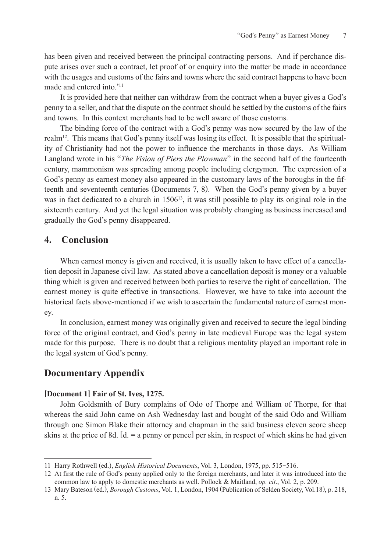has been given and received between the principal contracting persons. And if perchance dispute arises over such a contract, let proof of or enquiry into the matter be made in accordance with the usages and customs of the fairs and towns where the said contract happens to have been made and entered into.' 11

It is provided here that neither can withdraw from the contract when a buyer gives a God's penny to a seller, and that the dispute on the contract should be settled by the customs of the fairs and towns. In this context merchants had to be well aware of those customs.

The binding force of the contract with a God's penny was now secured by the law of the realm<sup>12</sup>. This means that God's penny itself was losing its effect. It is possible that the spirituality of Christianity had not the power to influence the merchants in those days. As William Langland wrote in his "*The Vision of Piers the Plowman*" in the second half of the fourteenth century, mammonism was spreading among people including clergymen. The expression of a God's penny as earnest money also appeared in the customary laws of the boroughs in the fifteenth and seventeenth centuries (Documents 7, 8). When the God's penny given by a buyer was in fact dedicated to a church in  $1506<sup>13</sup>$ , it was still possible to play its original role in the sixteenth century. And yet the legal situation was probably changing as business increased and gradually the God's penny disappeared.

## **4. Conclusion**

When earnest money is given and received, it is usually taken to have effect of a cancellation deposit in Japanese civil law. As stated above a cancellation deposit is money or a valuable thing which is given and received between both parties to reserve the right of cancellation. The earnest money is quite effective in transactions. However, we have to take into account the historical facts above-mentioned if we wish to ascertain the fundamental nature of earnest money.

In conclusion, earnest money was originally given and received to secure the legal binding force of the original contract, and God's penny in late medieval Europe was the legal system made for this purpose. There is no doubt that a religious mentality played an important role in the legal system of God's penny.

## **Documentary Appendix**

### **[Document 1] Fair of St. Ives, 1275.**

John Goldsmith of Bury complains of Odo of Thorpe and William of Thorpe, for that whereas the said John came on Ash Wednesday last and bought of the said Odo and William through one Simon Blake their attorney and chapman in the said business eleven score sheep skins at the price of 8d. [d. = a penny or pence] per skin, in respect of which skins he had given

<sup>11</sup> Harry Rothwell (ed.), *English Historical Documents*, Vol. 3, London, 1975, pp. 515- 516.

<sup>12</sup> At first the rule of God's penny applied only to the foreign merchants, and later it was introduced into the common law to apply to domestic merchants as well. Pollock & Maitland, *op. cit*., Vol. 2, p. 209.

<sup>13</sup> Mary Bateson (ed.), *Borough Customs*, Vol. 1, London, 1904 (Publication of Selden Society, Vol.18), p. 218, n. 5.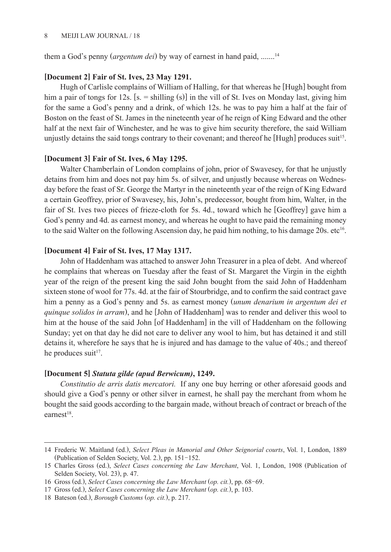them a God's penny (*argentum dei*) by way of earnest in hand paid, ....... 14

#### **[Document 2] Fair of St. Ives, 23 May 1291.**

Hugh of Carlisle complains of William of Halling, for that whereas he [Hugh] bought from him a pair of tongs for 12s. [s. = shilling (s)] in the vill of St. Ives on Monday last, giving him for the same a God's penny and a drink, of which 12s. he was to pay him a half at the fair of Boston on the feast of St. James in the nineteenth year of he reign of King Edward and the other half at the next fair of Winchester, and he was to give him security therefore, the said William unjustly detains the said tongs contrary to their covenant; and thereof he [Hugh] produces suit<sup>15</sup>.

### **[Document 3] Fair of St. Ives, 6 May 1295.**

Walter Chamberlain of London complains of john, prior of Swavesey, for that he unjustly detains from him and does not pay him 5s. of silver, and unjustly because whereas on Wednesday before the feast of Sr. George the Martyr in the nineteenth year of the reign of King Edward a certain Geoffrey, prior of Swavesey, his, John's, predecessor, bought from him, Walter, in the fair of St. Ives two pieces of frieze-cloth for 5s. 4d., toward which he [Geoffrey] gave him a God's penny and 4d. as earnest money, and whereas he ought to have paid the remaining money to the said Walter on the following Ascension day, he paid him nothing, to his damage  $20s$ . etc<sup>16</sup>.

### **[Document 4] Fair of St. Ives, 17 May 1317.**

John of Haddenham was attached to answer John Treasurer in a plea of debt. And whereof he complains that whereas on Tuesday after the feast of St. Margaret the Virgin in the eighth year of the reign of the present king the said John bought from the said John of Haddenham sixteen stone of wool for 77s. 4d. at the fair of Stourbridge, and to confirm the said contract gave him a penny as a God's penny and 5s. as earnest money (*unum denarium in argentum dei et quinque solidos in arram*), and he [John of Haddenham] was to render and deliver this wool to him at the house of the said John [of Haddenham] in the vill of Haddenham on the following Sunday; yet on that day he did not care to deliver any wool to him, but has detained it and still detains it, wherefore he says that he is injured and has damage to the value of 40s.; and thereof he produces suit<sup>17</sup>.

#### **[Document 5]** *Statuta gilde (apud Berwicum)***, 1249.**

*Constitutio de arris datis mercatori.* If any one buy herring or other aforesaid goods and should give a God's penny or other silver in earnest, he shall pay the merchant from whom he bought the said goods according to the bargain made, without breach of contract or breach of the earnest<sup>18</sup>.

<sup>14</sup> Frederic W. Maitland (ed.), *Select Pleas in Manorial and Other Seignorial courts*, Vol. 1, London, 1889 Frederic W. Matuand (ed.), *Select Freds in Manoria*<br>(Publication of Selden Society, Vol. 2.), pp. 151-152.

<sup>15</sup> Charles Gross (ed.), *Select Cases concerning the Law Merchant*, Vol. 1, London, 1908 (Publication of Selden Society, Vol. 23), p. 47.

<sup>16</sup> Gross (ed.), *Select Cases concerning the Law Merchant* (*op. cit.*), pp. 68- 69.

<sup>17</sup> Gross (ed.), *Select Cases concerning the Law Merchant* (*op. cit.*), p. 103.

<sup>18</sup> Bateson (ed.), *Borough Customs* (*op. cit.*), p. 217.